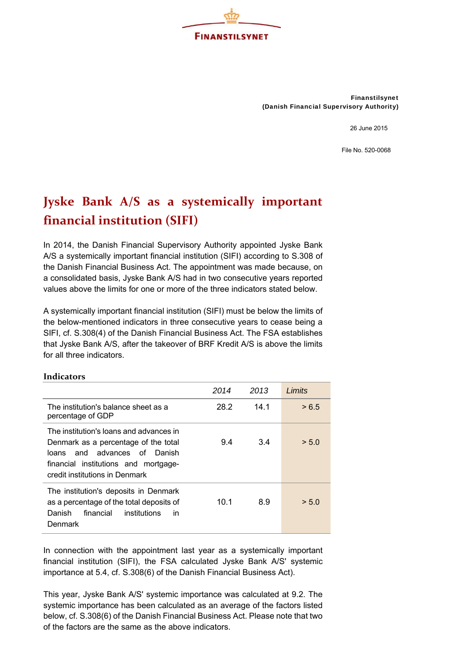

Finanstilsynet (Danish Financial Supervisory Authority)

26 June 2015

File No. 520-0068

## **Jyske Bank A/S as a systemically important financial institution (SIFI)**

In 2014, the Danish Financial Supervisory Authority appointed Jyske Bank A/S a systemically important financial institution (SIFI) according to S.308 of the Danish Financial Business Act. The appointment was made because, on a consolidated basis, Jyske Bank A/S had in two consecutive years reported values above the limits for one or more of the three indicators stated below.

A systemically important financial institution (SIFI) must be below the limits of the below-mentioned indicators in three consecutive years to cease being a SIFI, cf. S.308(4) of the Danish Financial Business Act. The FSA establishes that Jyske Bank A/S, after the takeover of BRF Kredit A/S is above the limits for all three indicators.

|                                                                                                                                                                                              | 2014 | 2013 | Limits |
|----------------------------------------------------------------------------------------------------------------------------------------------------------------------------------------------|------|------|--------|
| The institution's balance sheet as a<br>percentage of GDP                                                                                                                                    | 28.2 | 14.1 | > 6.5  |
| The institution's loans and advances in<br>Denmark as a percentage of the total<br>and advances of Danish<br>loans<br>financial institutions and mortgage-<br>credit institutions in Denmark | 9.4  | 3.4  | > 5.0  |
| The institution's deposits in Denmark<br>as a percentage of the total deposits of<br>Danish<br>financial<br>institutions<br>in<br>Denmark                                                    | 10.1 | 8.9  | > 5.0  |

## **Indicators**

In connection with the appointment last year as a systemically important financial institution (SIFI), the FSA calculated Jyske Bank A/S' systemic importance at 5.4, cf. S.308(6) of the Danish Financial Business Act).

This year, Jyske Bank A/S' systemic importance was calculated at 9.2. The systemic importance has been calculated as an average of the factors listed below, cf. S.308(6) of the Danish Financial Business Act. Please note that two of the factors are the same as the above indicators.